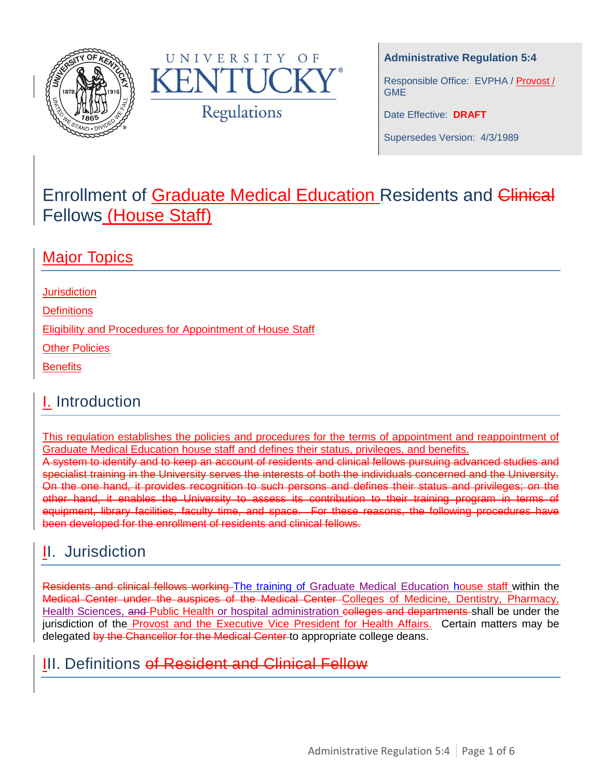



#### **Administrative Regulation 5:4**

Responsible Office: EVPHA / Provost / GME

Date Effective: **DRAFT**

Supersedes Version: 4/3/1989

# Enrollment of Graduate Medical Education Residents and Clinical Fellows (House Staff)

### **Major Topics**

**[Jurisdiction](#page-0-0)** 

**[Definitions](#page-0-1)** 

[Eligibility and Procedures for Appointment of House Staff](#page-1-0)

**[Other Policies](#page-3-0)** 

**[Benefits](#page-3-1)** 

# I. Introduction

This regulation establishes the policies and procedures for the terms of appointment and reappointment of Graduate Medical Education house staff and defines their status, privileges, and benefits.

A system to identify and to keep an account of residents and clinical fellows pursuing advanced studies and specialist training in the University serves the interests of both the individuals concerned and the University. On the one hand, it provides recognition to such persons and defines their status and privileges; on the other hand, it enables the University to assess its contribution to their training program in terms of equipment, library facilities, faculty time, and space. For these reasons, the following procedures have been developed for the enrollment of residents and clinical fellows.

# <span id="page-0-0"></span>II. Jurisdiction

Residents and clinical fellows working The training of Graduate Medical Education house staff within the Medical Center under the auspices of the Medical Center Colleges of Medicine, Dentistry, Pharmacy, Health Sciences, and Public Health or hospital administration colleges and departments shall be under the jurisdiction of the Provost and the Executive Vice President for Health Affairs. Certain matters may be delegated by the Chancellor for the Medical Center to appropriate college deans.

### <span id="page-0-1"></span>III. Definitions of Resident and Clinical Fellow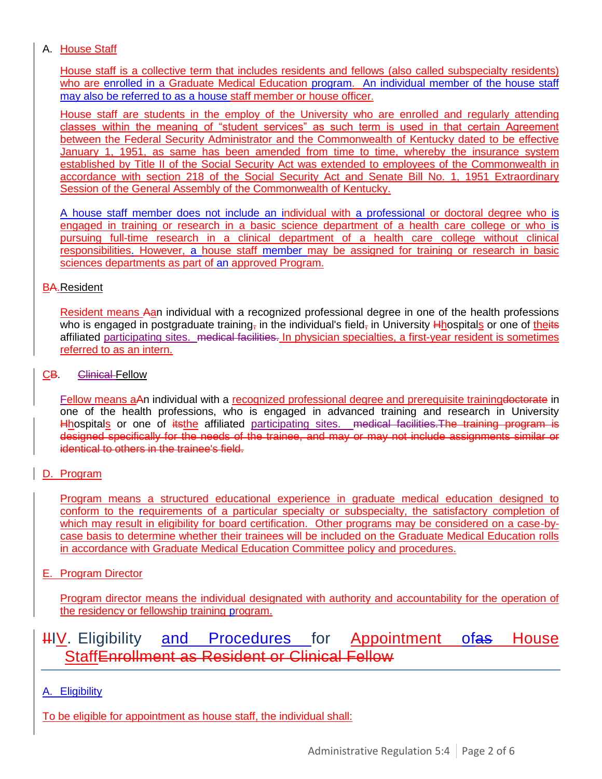#### A. House Staff

House staff is a collective term that includes residents and fellows (also called subspecialty residents) who are enrolled in a Graduate Medical Education program. An individual member of the house staff may also be referred to as a house staff member or house officer.

House staff are students in the employ of the University who are enrolled and regularly attending classes within the meaning of "student services" as such term is used in that certain Agreement between the Federal Security Administrator and the Commonwealth of Kentucky dated to be effective January 1, 1951, as same has been amended from time to time, whereby the insurance system established by Title II of the Social Security Act was extended to employees of the Commonwealth in accordance with section 218 of the Social Security Act and Senate Bill No. 1, 1951 Extraordinary Session of the General Assembly of the Commonwealth of Kentucky.

A house staff member does not include an individual with a professional or doctoral degree who is engaged in training or research in a basic science department of a health care college or who is pursuing full-time research in a clinical department of a health care college without clinical responsibilities. However, a house staff member may be assigned for training or research in basic sciences departments as part of an approved Program.

#### BA.Resident

Resident means Aan individual with a recognized professional degree in one of the health professions who is engaged in postgraduate training, in the individual's field, in University *Hhospitals* or one of theits affiliated participating sites. medical facilities. In physician specialties, a first-year resident is sometimes referred to as an intern.

#### CB. Clinical Fellow

Fellow means aAn individual with a recognized professional degree and prerequisite training doctorate in one of the health professions, who is engaged in advanced training and research in University Hhospitals or one of itsthe affiliated participating sites. medical facilities. The training program is designed specifically for the needs of the trainee, and may or may not include assignments similar or identical to others in the trainee's field.

### D. Program

Program means a structured educational experience in graduate medical education designed to conform to the requirements of a particular specialty or subspecialty, the satisfactory completion of which may result in eligibility for board certification. Other programs may be considered on a case-bycase basis to determine whether their trainees will be included on the Graduate Medical Education rolls in accordance with Graduate Medical Education Committee policy and procedures.

#### E. Program Director

Program director means the individual designated with authority and accountability for the operation of the residency or fellowship training program.

### <span id="page-1-0"></span>HIV. Eligibility and Procedures for Appointment ofas House StaffEnrollment as Resident or Clinical Fellow

A. Eligibility

To be eligible for appointment as house staff, the individual shall: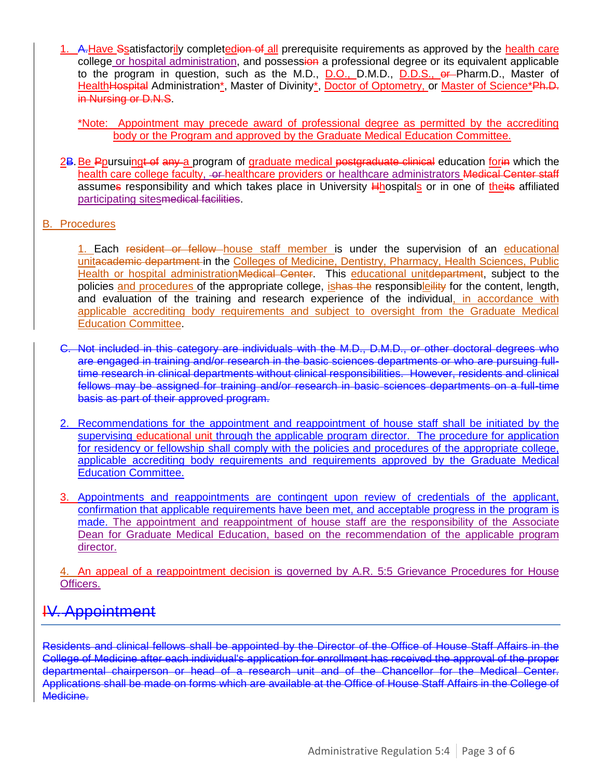1. A. Have Ssatisfactorily completedion of all prerequisite requirements as approved by the health care college or hospital administration, and possession a professional degree or its equivalent applicable to the program in question, such as the M.D., D.O., D.M.D., D.D.S., or Pharm.D., Master of Health Hospital Administration\*, Master of Divinity\*, Doctor of Optometry, or Master of Science\*Ph.D. in Nursing or D.N.S.

\*Note: Appointment may precede award of professional degree as permitted by the accrediting body or the Program and approved by the Graduate Medical Education Committee.

2B. Be Ppursuingt of any a program of graduate medical postgraduate clinical education for in which the health care college faculty, -or-healthcare providers or healthcare administrators Medical Center staff assumes responsibility and which takes place in University **Hhospitals or in one of theits affiliated** participating sitesmedical facilities.

#### B. Procedures

1. Each resident or fellow house staff member is under the supervision of an educational unitacademic department-in the Colleges of Medicine, Dentistry, Pharmacy, Health Sciences, Public Health or hospital administration Medical Center. This educational unitelepartment, subject to the policies and procedures of the appropriate college, *ishas the responsibleility* for the content, length, and evaluation of the training and research experience of the individual, in accordance with applicable accrediting body requirements and subject to oversight from the Graduate Medical Education Committee.

- C. Not included in this category are individuals with the M.D., D.M.D., or other doctoral degrees who are engaged in training and/or research in the basic sciences departments or who are pursuing fulltime research in clinical departments without clinical responsibilities. However, residents and clinical fellows may be assigned for training and/or research in basic sciences departments on a full-time basis as part of their approved program.
- 2. Recommendations for the appointment and reappointment of house staff shall be initiated by the supervising educational unit through the applicable program director. The procedure for application for residency or fellowship shall comply with the policies and procedures of the appropriate college, applicable accrediting body requirements and requirements approved by the Graduate Medical Education Committee.
- 3. Appointments and reappointments are contingent upon review of credentials of the applicant, confirmation that applicable requirements have been met, and acceptable progress in the program is made. The appointment and reappointment of house staff are the responsibility of the Associate Dean for Graduate Medical Education, based on the recommendation of the applicable program director.

4. An appeal of a reappointment decision is governed by A.R. 5:5 Grievance Procedures for House Officers.

### IV. Appointment

Residents and clinical fellows shall be appointed by the Director of the Office of House Staff Affairs in the College of Medicine after each individual's application for enrollment has received the approval of the proper departmental chairperson or head of a research unit and of the Chancellor for the Medical Center. Applications shall be made on forms which are available at the Office of House Staff Affairs in the College of Medicine.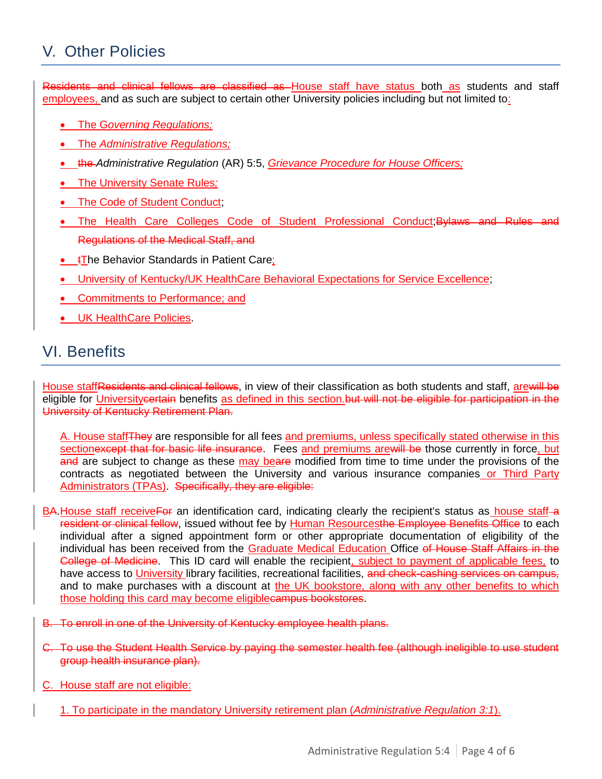# <span id="page-3-0"></span>V. Other Policies

Residents and clinical fellows are classified as House staff have status both as students and staff employees, and as such are subject to certain other University policies including but not limited to:

- The G*overning Regulations;*
- The *Administrative Regulations;*
- the *Administrative Regulation* (AR) 5:5, *Grievance Procedure for House Officers;*
- The University Senate Rules*;*
- The Code of Student Conduct:
- The Health Care Colleges Code of Student Professional Conduct; Bylaws and Rules and Regulations of the Medical Staff, and
- $\cdot$   $\cdot$   $\uparrow$  The Behavior Standards in Patient Care;
- University of Kentucky/UK HealthCare Behavioral Expectations for Service Excellence;
- Commitments to Performance; and
- UK HealthCare Policies.

### <span id="page-3-1"></span>VI. Benefits

House staffResidents and clinical fellows, in view of their classification as both students and staff, arewill be eligible for Universitycertain benefits as defined in this section.but will not be eligible for participation in the University of Kentucky Retirement Plan.

A. House staff They are responsible for all fees and premiums, unless specifically stated otherwise in this sectionexcept that for basic life insurance. Fees and premiums arewill be those currently in force, but and are subject to change as these may beare modified from time to time under the provisions of the contracts as negotiated between the University and various insurance companies or Third Party Administrators (TPAs). Specifically, they are eligible:

- BA. House staff receive For an identification card, indicating clearly the recipient's status as house staff-a resident or clinical fellow, issued without fee by Human Resourcesthe Employee Benefits Office to each individual after a signed appointment form or other appropriate documentation of eligibility of the individual has been received from the Graduate Medical Education Office of House Staff Affairs in the College of Medicine. This ID card will enable the recipient, subject to payment of applicable fees, to have access to University library facilities, recreational facilities, and check-cashing services on campus, and to make purchases with a discount at the UK bookstore, along with any other benefits to which those holding this card may become eligiblecampus bookstores.
- B. To enroll in one of the University of Kentucky employee health plans.
- C. To use the Student Health Service by paying the semester health fee (although ineligible to use student group health insurance plan).
- C. House staff are not eligible:
	- 1. To participate in the mandatory University retirement plan (*Administrative Regulation 3:1*).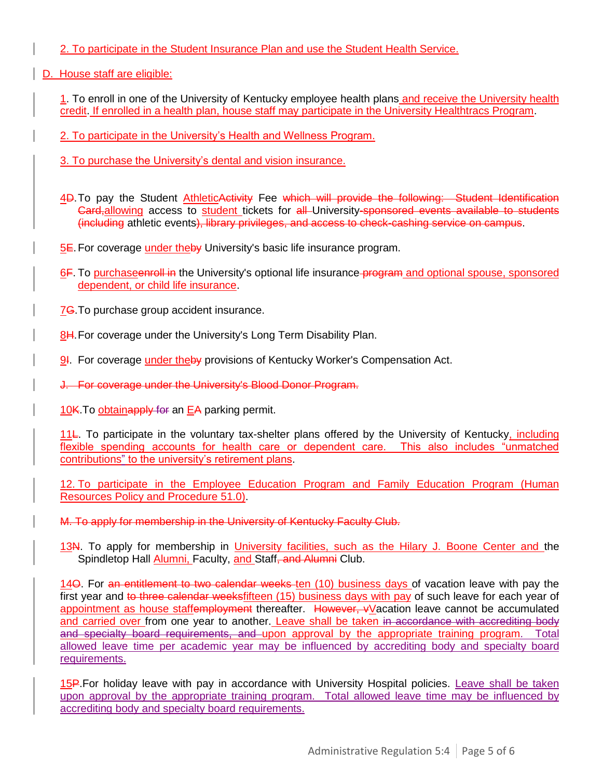2. To participate in the Student Insurance Plan and use the Student Health Service.

D. House staff are eligible:

1. To enroll in one of the University of Kentucky employee health plans and receive the University health credit. If enrolled in a health plan, house staff may participate in the University Healthtracs Program.

2. To participate in the University's Health and Wellness Program.

3. To purchase the University's dental and vision insurance.

4D. To pay the Student AthleticActivity Fee which will provide the following: Student Identification Card, allowing access to student tickets for all University-sponsored events available to students (including athletic events), library privileges, and access to check-cashing service on campus.

5E. For coverage under theby University's basic life insurance program.

6F. To purchase enroll in the University's optional life insurance program and optional spouse, sponsored dependent, or child life insurance.

7<del>G</del>. To purchase group accident insurance.

8H. For coverage under the University's Long Term Disability Plan.

9I. For coverage under theby provisions of Kentucky Worker's Compensation Act.

J. For coverage under the University's Blood Donor Program.

10K. To obtainapply for an EA parking permit.

11<sub></sub>. To participate in the voluntary tax-shelter plans offered by the University of Kentucky, including flexible spending accounts for health care or dependent care. This also includes "unmatched contributions" to the university's retirement plans.

12. To participate in the Employee Education Program and Family Education Program (Human Resources Policy and Procedure 51.0).

M. To apply for membership in the University of Kentucky Faculty Club.

13N. To apply for membership in University facilities, such as the Hilary J. Boone Center and the Spindletop Hall Alumni, Faculty, and Staff, and Alumni Club.

14O. For an entitlement to two calendar weeks ten (10) business days of vacation leave with pay the first year and to three calendar weeksfifteen (15) business days with pay of such leave for each year of appointment as house staffemployment thereafter. However, vVacation leave cannot be accumulated and carried over from one year to another. Leave shall be taken in accordance with accrediting body and specialty board requirements, and upon approval by the appropriate training program. Total allowed leave time per academic year may be influenced by accrediting body and specialty board requirements.

15P. For holiday leave with pay in accordance with University Hospital policies. Leave shall be taken upon approval by the appropriate training program. Total allowed leave time may be influenced by accrediting body and specialty board requirements.